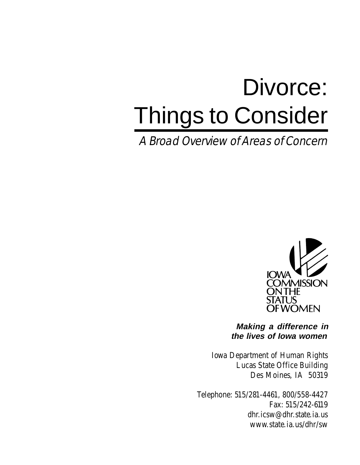# Divorce: Things to Consider

A Broad Overview of Areas of Concern



**Making a difference in the lives of Iowa women**

Iowa Department of Human Rights Lucas State Office Building Des Moines, IA 50319

Telephone: 515/281-4461, 800/558-4427 Fax: 515/242-6119 dhr.icsw@dhr.state.ia.us www.state.ia.us/dhr/sw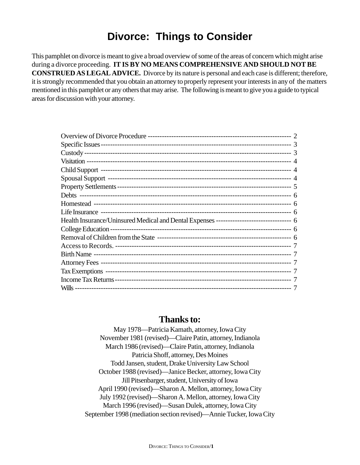# **Divorce: Things to Consider**

This pamphlet on divorce is meant to give a broad overview of some of the areas of concern which might arise during a divorce proceeding. **IT IS BY NO MEANS COMPREHENSIVE AND SHOULD NOT BE CONSTRUED AS LEGAL ADVICE.** Divorce by its nature is personal and each case is different; therefore, it is strongly recommended that you obtain an attorney to properly represent your interests in any of the matters mentioned in this pamphlet or any others that may arise. The following is meant to give you a guide to typical areas for discussion with your attorney.

# **Thanks to:**

May 1978—Patricia Kamath, attorney, Iowa City November 1981 (revised)—Claire Patin, attorney, Indianola March 1986 (revised)—Claire Patin, attorney, Indianola Patricia Shoff, attorney, Des Moines Todd Jansen, student, Drake University Law School October 1988 (revised)—Janice Becker, attorney, Iowa City Jill Pitsenbarger, student, University of Iowa April 1990 (revised)—Sharon A. Mellon, attorney, Iowa City July 1992 (revised)—Sharon A. Mellon, attorney, Iowa City March 1996 (revised)—Susan Dulek, attorney, Iowa City September 1998 (mediation section revised)—Annie Tucker, Iowa City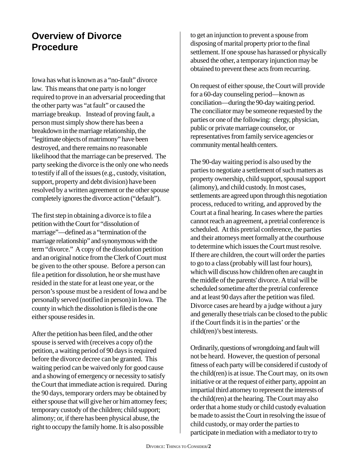# **Overview of Divorce Procedure**

Iowa has what is known as a "no-fault" divorce law. This means that one party is no longer required to prove in an adversarial proceeding that the other party was "at fault" or caused the marriage breakup. Instead of proving fault, a person must simply show there has been a breakdown in the marriage relationship, the "legitimate objects of matrimony" have been destroyed, and there remains no reasonable likelihood that the marriage can be preserved. The party seeking the divorce is the only one who needs to testify if all of the issues (e.g., custody, visitation, support, property and debt division) have been resolved by a written agreement or the other spouse completely ignores the divorce action ("default").

The first step in obtaining a divorce is to file a petition with the Court for "dissolution of marriage"—defined as a "termination of the marriage relationship" and synonymous with the term "divorce." A copy of the dissolution petition and an original notice from the Clerk of Court must be given to the other spouse. Before a person can file a petition for dissolution, he or she must have resided in the state for at least one year, or the person's spouse must be a resident of Iowa and be personally served (notified in person) in Iowa. The county in which the dissolution is filed is the one either spouse resides in.

After the petition has been filed, and the other spouse is served with (receives a copy of) the petition, a waiting period of 90 days is required before the divorce decree can be granted. This waiting period can be waived only for good cause and a showing of emergency or necessity to satisfy the Court that immediate action is required. During the 90 days, temporary orders may be obtained by either spouse that will give her or him attorney fees; temporary custody of the children; child support; alimony; or, if there has been physical abuse, the right to occupy the family home. It is also possible

to get an injunction to prevent a spouse from disposing of marital property prior to the final settlement. If one spouse has harassed or physically abused the other, a temporary injunction may be obtained to prevent these acts from recurring.

On request of either spouse, the Court will provide for a 60-day counseling period—known as conciliation—during the 90-day waiting period. The conciliator may be someone requested by the parties or one of the following: clergy, physician, public or private marriage counselor, or representatives from family service agencies or community mental health centers.

The 90-day waiting period is also used by the parties to negotiate a settlement of such matters as property ownership, child support, spousal support (alimony), and child custody. In most cases, settlements are agreed upon through this negotiation process, reduced to writing, and approved by the Court at a final hearing. In cases where the parties cannot reach an agreement, a pretrial conference is scheduled. At this pretrial conference, the parties and their attorneys meet formally at the courthouse to determine which issues the Court must resolve. If there are children, the court will order the parties to go to a class (probably will last four hours), which will discuss how children often are caught in the middle of the parents' divorce. A trial will be scheduled sometime after the pretrial conference and at least 90 days after the petition was filed. Divorce cases are heard by a judge without a jury and generally these trials can be closed to the public if the Court finds it is in the parties' or the child(ren)'s best interests.

Ordinarily, questions of wrongdoing and fault will not be heard. However, the question of personal fitness of each party will be considered if custody of the child(ren) is at issue. The Court may, on its own initiative or at the request of either party, appoint an impartial third attorney to represent the interests of the child(ren) at the hearing. The Court may also order that a home study or child custody evaluation be made to assist the Court in resolving the issue of child custody, or may order the parties to participate in mediation with a mediator to try to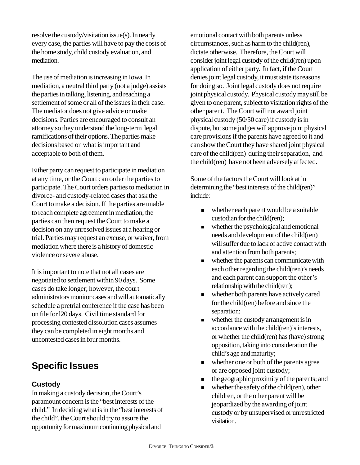resolve the custody/visitation issue(s). In nearly every case, the parties will have to pay the costs of the home study, child custody evaluation, and mediation.

The use of mediation is increasing in Iowa. In mediation, a neutral third party (not a judge) assists the parties in talking, listening, and reaching a settlement of some or all of the issues in their case. The mediator does not give advice or make decisions. Parties are encouraged to consult an attorney so they understand the long-term legal ramifications of their options. The parties make decisions based on what is important and acceptable to both of them.

Either party can request to participate in mediation at any time, or the Court can order the parties to participate. The Court orders parties to mediation in divorce- and custody-related cases that ask the Court to make a decision. If the parties are unable to reach complete agreement in mediation, the parties can then request the Court to make a decision on any unresolved issues at a hearing or trial. Parties may request an excuse, or waiver, from mediation where there is a history of domestic violence or severe abuse.

It is important to note that not all cases are negotiated to settlement within 90 days. Some cases do take longer; however, the court administrators monitor cases and will automatically schedule a pretrial conference if the case has been on file for l20 days. Civil time standard for processing contested dissolution cases assumes they can be completed in eight months and uncontested cases in four months.

# **Specific Issues**

# **Custody**

In making a custody decision, the Court's paramount concern is the "best interests of the child." In deciding what is in the "best interests of the child", the Court should try to assure the opportunity for maximum continuing physical and

emotional contact with both parents unless circumstances, such as harm to the child(ren), dictate otherwise. Therefore, the Court will consider joint legal custody of the child(ren) upon application of either party. In fact, if the Court denies joint legal custody, it must state its reasons for doing so. Joint legal custody does not require joint physical custody. Physical custody may still be given to one parent, subject to visitation rights of the other parent. The Court will not award joint physical custody (50/50 care) if custody is in dispute, but some judges will approve joint physical care provisions if the parents have agreed to it and can show the Court they have shared joint physical care of the child(ren) during their separation, and the child(ren) have not been adversely affected.

Some of the factors the Court will look at in determining the "best interests of the child(ren)" include:

- $\blacksquare$  whether each parent would be a suitable custodian for the child(ren);
- ! whether the psychological and emotional needs and development of the child(ren) will suffer due to lack of active contact with and attention from both parents;
- whether the parents can communicate with each other regarding the child(ren)'s needs and each parent can support the other's relationship with the child(ren);
- ! whether both parents have actively cared for the child(ren) before and since the separation;
- $\blacksquare$  whether the custody arrangement is in accordance with the child(ren)'s interests, or whether the child(ren) has (have) strong opposition, taking into consideration the child's age and maturity;
- whether one or both of the parents agree or are opposed joint custody;
- $\blacksquare$  the geographic proximity of the parents; and
- whether the safety of the child(ren), other children, or the other parent will be jeopardized by the awarding of joint custody or by unsupervised or unrestricted visitation.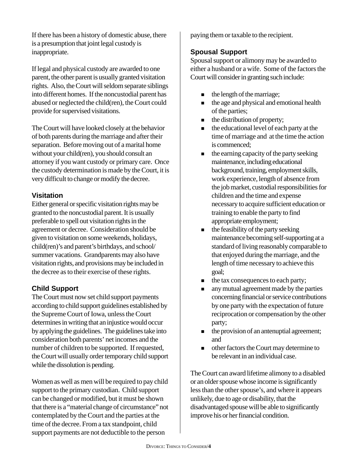If there has been a history of domestic abuse, there is a presumption that joint legal custody is inappropriate.

If legal and physical custody are awarded to one parent, the other parent is usually granted visitation rights. Also, the Court will seldom separate siblings into different homes. If the noncustodial parent has abused or neglected the child(ren), the Court could provide for supervised visitations.

The Court will have looked closely at the behavior of both parents during the marriage and after their separation. Before moving out of a marital home without your child(ren), you should consult an attorney if you want custody or primary care. Once the custody determination is made by the Court, it is very difficult to change or modify the decree.

#### **Visitation**

Either general or specific visitation rights may be granted to the noncustodial parent. It is usually preferable to spell out visitation rights in the agreement or decree. Consideration should be given to visitation on some weekends, holidays, child(ren)'s and parent's birthdays, and school/ summer vacations. Grandparents may also have visitation rights, and provisions may be included in the decree as to their exercise of these rights.

# **Child Support**

The Court must now set child support payments according to child support guidelines established by the Supreme Court of Iowa, unless the Court determines in writing that an injustice would occur by applying the guidelines. The guidelines take into consideration both parents' net incomes and the number of children to be supported. If requested, the Court will usually order temporary child support while the dissolution is pending.

Women as well as men will be required to pay child support to the primary custodian. Child support can be changed or modified, but it must be shown that there is a "material change of circumstance" not contemplated by the Court and the parties at the time of the decree. From a tax standpoint, child support payments are not deductible to the person

paying them or taxable to the recipient.

#### **Spousal Support**

Spousal support or alimony may be awarded to either a husband or a wife. Some of the factors the Court will consider in granting such include:

- the length of the marriage;
- $\blacksquare$  the age and physical and emotional health of the parties;
- $\blacksquare$  the distribution of property;
- the educational level of each party at the time of marriage and at the time the action is commenced;
- the earning capacity of the party seeking maintenance, including educational background, training, employment skills, work experience, length of absence from the job market, custodial responsibilities for children and the time and expense necessary to acquire sufficient education or training to enable the party to find appropriate employment;
- the feasibility of the party seeking maintenance becoming self-supporting at a standard of living reasonably comparable to that enjoyed during the marriage, and the length of time necessary to achieve this goal;
- $\blacksquare$  the tax consequences to each party;
- any mutual agreement made by the parties concerning financial or service contributions by one party with the expectation of future reciprocation or compensation by the other party;
- $\blacksquare$  the provision of an antenuptial agreement; and
- **In the court may determine to** be relevant in an individual case.

The Court can award lifetime alimony to a disabled or an older spouse whose income is significantly less than the other spouse's, and where it appears unlikely, due to age or disability, that the disadvantaged spouse will be able to significantly improve his or her financial condition.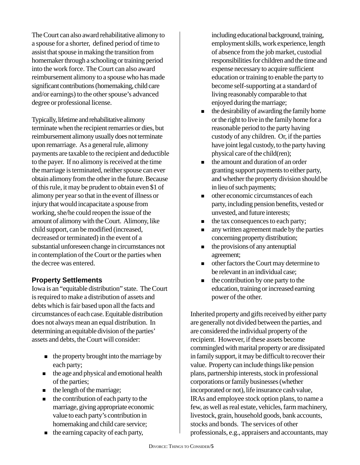The Court can also award rehabilitative alimony to a spouse for a shorter, defined period of time to assist that spouse in making the transition from homemaker through a schooling or training period into the work force. The Court can also award reimbursement alimony to a spouse who has made significant contributions (homemaking, child care and/or earnings) to the other spouse's advanced degree or professional license.

Typically, lifetime and rehabilitative alimony terminate when the recipient remarries or dies, but reimbursement alimony usually does not terminate upon remarriage. As a general rule, alimony payments are taxable to the recipient and deductible to the payer. If no alimony is received at the time the marriage is terminated, neither spouse can ever obtain alimony from the other in the future. Because of this rule, it may be prudent to obtain even \$1 of alimony per year so that in the event of illness or injury that would incapacitate a spouse from working, she/he could reopen the issue of the amount of alimony with the Court. Alimony, like child support, can be modified (increased, decreased or terminated) in the event of a substantial unforeseen change in circumstances not in contemplation of the Court or the parties when the decree was entered.

#### **Property Settlements**

Iowa is an "equitable distribution" state. The Court is required to make a distribution of assets and debts which is fair based upon all the facts and circumstances of each case. Equitable distribution does not always mean an equal distribution. In determining an equitable division of the parties' assets and debts, the Court will consider:

- $\blacksquare$  the property brought into the marriage by each party;
- $\blacksquare$  the age and physical and emotional health of the parties;
- the length of the marriage;
- the contribution of each party to the marriage, giving appropriate economic value to each party's contribution in homemaking and child care service;
- $\blacksquare$  the earning capacity of each party,

including educational background, training, employment skills, work experience, length of absence from the job market, custodial responsibilities for children and the time and expense necessary to acquire sufficient education or training to enable the party to become self-supporting at a standard of living reasonably comparable to that enjoyed during the marriage;

- the desirability of awarding the family home or the right to live in the family home for a reasonable period to the party having custody of any children. Or, if the parties have joint legal custody, to the party having physical care of the child(ren);
- $\blacksquare$  the amount and duration of an order granting support payments to either party, and whether the property division should be in lieu of such payments;
- **IDED** other economic circumstances of each party, including pension benefits, vested or unvested, and future interests;
- $\blacksquare$  the tax consequences to each party;
- any written agreement made by the parties concerning property distribution;
- $\blacksquare$  the provisions of any antenuptial agreement;
- ! other factors the Court may determine to be relevant in an individual case;
- the contribution by one party to the education, training or increased earning power of the other.

Inherited property and gifts received by either party are generally not divided between the parties, and are considered the individual property of the recipient. However, if these assets become commingled with marital property or are dissipated in family support, it may be difficult to recover their value. Property can include things like pension plans, partnership interests, stock in professional corporations or family businesses (whether incorporated or not), life insurance cash value, IRAs and employee stock option plans, to name a few, as well as real estate, vehicles, farm machinery, livestock, grain, household goods, bank accounts, stocks and bonds. The services of other professionals, e.g., appraisers and accountants, may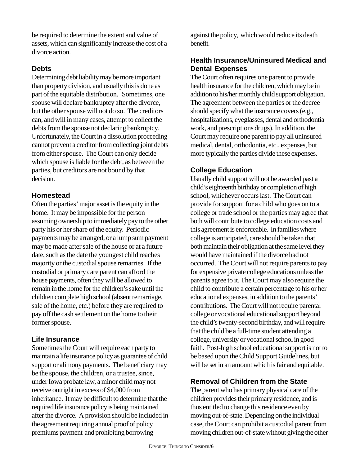be required to determine the extent and value of assets, which can significantly increase the cost of a divorce action.

#### **Debts**

Determining debt liability may be more important than property division, and usually this is done as part of the equitable distribution. Sometimes, one spouse will declare bankruptcy after the divorce, but the other spouse will not do so. The creditors can, and will in many cases, attempt to collect the debts from the spouse not declaring bankruptcy. Unfortunately, the Court in a dissolution proceeding cannot prevent a creditor from collecting joint debts from either spouse. The Court can only decide which spouse is liable for the debt, as between the parties, but creditors are not bound by that decision.

#### **Homestead**

Often the parties' major asset is the equity in the home. It may be impossible for the person assuming ownership to immediately pay to the other party his or her share of the equity. Periodic payments may be arranged, or a lump sum payment may be made after sale of the house or at a future date, such as the date the youngest child reaches majority or the custodial spouse remarries. If the custodial or primary care parent can afford the house payments, often they will be allowed to remain in the home for the children's sake until the children complete high school (absent remarriage, sale of the home, etc.) before they are required to pay off the cash settlement on the home to their former spouse.

# **Life Insurance**

Sometimes the Court will require each party to maintain a life insurance policy as guarantee of child support or alimony payments. The beneficiary may be the spouse, the children, or a trustee, since, under Iowa probate law, a minor child may not receive outright in excess of \$4,000 from inheritance. It may be difficult to determine that the required life insurance policy is being maintained after the divorce. A provision should be included in the agreement requiring annual proof of policy premiums payment and prohibiting borrowing

against the policy, which would reduce its death benefit.

# **Health Insurance/Uninsured Medical and Dental Expenses**

The Court often requires one parent to provide health insurance for the children, which may be in addition to his/her monthly child support obligation. The agreement between the parties or the decree should specify what the insurance covers (e.g., hospitalizations, eyeglasses, dental and orthodontia work, and prescriptions drugs). In addition, the Court may require one parent to pay all uninsured medical, dental, orthodontia, etc., expenses, but more typically the parties divide these expenses.

# **College Education**

Usually child support will not be awarded past a child's eighteenth birthday or completion of high school, whichever occurs last. The Court can provide for support for a child who goes on to a college or trade school or the parties may agree that both will contribute to college education costs and this agreement is enforceable. In families where college is anticipated, care should be taken that both maintain their obligation at the same level they would have maintained if the divorce had not occurred. The Court will not require parents to pay for expensive private college educations unless the parents agree to it. The Court may also require the child to contribute a certain percentage to his or her educational expenses, in addition to the parents' contributions. The Court will not require parental college or vocational educational support beyond the child's twenty-second birthday, and will require that the child be a full-time student attending a college, university or vocational school in good faith. Post-high school educational support is not to be based upon the Child Support Guidelines, but will be set in an amount which is fair and equitable.

# **Removal of Children from the State**

The parent who has primary physical care of the children provides their primary residence, and is thus entitled to change this residence even by moving out-of-state. Depending on the individual case, the Court can prohibit a custodial parent from moving children out-of-state without giving the other